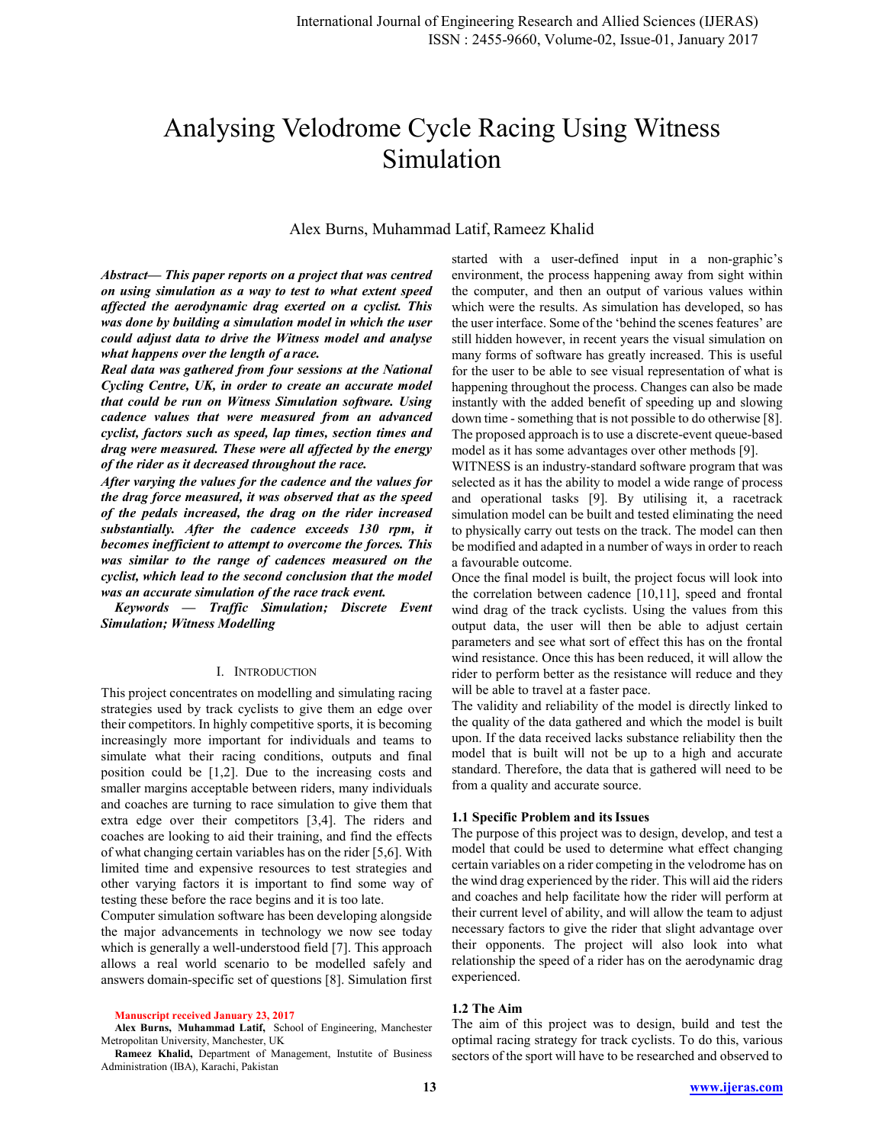# Analysing Velodrome Cycle Racing Using Witness Simulation

# Alex Burns, Muhammad Latif, Rameez Khalid

Abstract— This paper reports on a project that was centred on using simulation as a way to test to what extent speed affected the aerodynamic drag exerted on a cyclist. This was done by building a simulation model in which the user could adjust data to drive the Witness model and analyse what happens over the length of a race.

Real data was gathered from four sessions at the National Cycling Centre, UK, in order to create an accurate model that could be run on Witness Simulation software. Using cadence values that were measured from an advanced cyclist, factors such as speed, lap times, section times and drag were measured. These were all affected by the energy of the rider as it decreased throughout the race.

After varying the values for the cadence and the values for the drag force measured, it was observed that as the speed of the pedals increased, the drag on the rider increased substantially. After the cadence exceeds 130 rpm, it becomes inefficient to attempt to overcome the forces. This was similar to the range of cadences measured on the cyclist, which lead to the second conclusion that the model was an accurate simulation of the race track event.

Keywords - Traffic Simulation; Discrete Event **Simulation; Witness Modelling** 

#### I. INTRODUCTION

This project concentrates on modelling and simulating racing strategies used by track cyclists to give them an edge over their competitors. In highly competitive sports, it is becoming increasingly more important for individuals and teams to simulate what their racing conditions, outputs and final position could be  $[1,2]$ . Due to the increasing costs and smaller margins acceptable between riders, many individuals and coaches are turning to race simulation to give them that extra edge over their competitors [3,4]. The riders and coaches are looking to aid their training, and find the effects of what changing certain variables has on the rider [5,6]. With limited time and expensive resources to test strategies and other varying factors it is important to find some way of testing these before the race begins and it is too late.

Computer simulation software has been developing alongside the major advancements in technology we now see today which is generally a well-understood field [7]. This approach allows a real world scenario to be modelled safely and answers domain-specific set of questions [8]. Simulation first

**Manuscript received January 23, 2017** 

Alex Burns, Muhammad Latif, School of Engineering, Manchester Metropolitan University, Manchester, UK

Rameez Khalid, Department of Management, Instutite of Business Administration (IBA), Karachi, Pakistan

started with a user-defined input in a non-graphic's environment, the process happening away from sight within the computer, and then an output of various values within which were the results. As simulation has developed, so has the user interface. Some of the 'behind the scenes features' are still hidden however, in recent years the visual simulation on many forms of software has greatly increased. This is useful for the user to be able to see visual representation of what is happening throughout the process. Changes can also be made instantly with the added benefit of speeding up and slowing down time - something that is not possible to do otherwise [8]. The proposed approach is to use a discrete-event queue-based model as it has some advantages over other methods [9].

WITNESS is an industry-standard software program that was selected as it has the ability to model a wide range of process and operational tasks [9]. By utilising it, a racetrack simulation model can be built and tested eliminating the need to physically carry out tests on the track. The model can then be modified and adapted in a number of ways in order to reach a favourable outcome.

Once the final model is built, the project focus will look into the correlation between cadence  $[10,11]$ , speed and frontal wind drag of the track cyclists. Using the values from this output data, the user will then be able to adjust certain parameters and see what sort of effect this has on the frontal wind resistance. Once this has been reduced, it will allow the rider to perform better as the resistance will reduce and they will be able to travel at a faster pace.

The validity and reliability of the model is directly linked to the quality of the data gathered and which the model is built upon. If the data received lacks substance reliability then the model that is built will not be up to a high and accurate standard. Therefore, the data that is gathered will need to be from a quality and accurate source.

## 1.1 Specific Problem and its Issues

The purpose of this project was to design, develop, and test a model that could be used to determine what effect changing certain variables on a rider competing in the velodrome has on the wind drag experienced by the rider. This will aid the riders and coaches and help facilitate how the rider will perform at their current level of ability, and will allow the team to adjust necessary factors to give the rider that slight advantage over their opponents. The project will also look into what relationship the speed of a rider has on the aerodynamic drag experienced.

#### 1.2 The Aim

The aim of this project was to design, build and test the optimal racing strategy for track cyclists. To do this, various sectors of the sport will have to be researched and observed to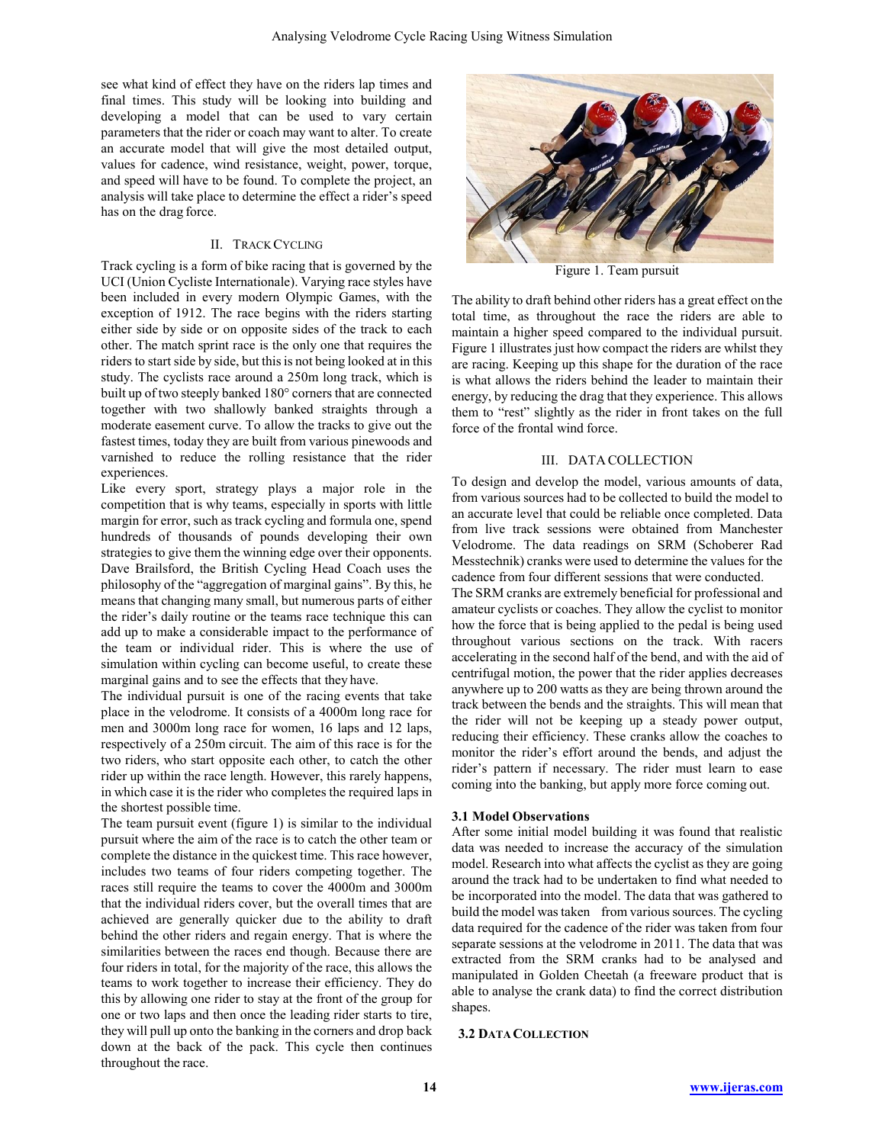see what kind of effect they have on the riders lap times and final times. This study will be looking into building and developing a model that can be used to vary certain parameters that the rider or coach may want to alter. To create an accurate model that will give the most detailed output, values for cadence, wind resistance, weight, power, torque, and speed will have to be found. To complete the project, an analysis will take place to determine the effect a rider's speed has on the drag force.

## **II. TRACK CYCLING**

Track cycling is a form of bike racing that is governed by the UCI (Union Cycliste Internationale). Varying race styles have been included in every modern Olympic Games, with the exception of 1912. The race begins with the riders starting either side by side or on opposite sides of the track to each other. The match sprint race is the only one that requires the riders to start side by side, but this is not being looked at in this study. The cyclists race around a 250m long track, which is built up of two steeply banked 180° corners that are connected together with two shallowly banked straights through a moderate easement curve. To allow the tracks to give out the fastest times, today they are built from various pinewoods and varnished to reduce the rolling resistance that the rider experiences.

Like every sport, strategy plays a major role in the competition that is why teams, especially in sports with little margin for error, such as track cycling and formula one, spend hundreds of thousands of pounds developing their own strategies to give them the winning edge over their opponents. Dave Brailsford, the British Cycling Head Coach uses the philosophy of the "aggregation of marginal gains". By this, he means that changing many small, but numerous parts of either the rider's daily routine or the teams race technique this can add up to make a considerable impact to the performance of the team or individual rider. This is where the use of simulation within cycling can become useful, to create these marginal gains and to see the effects that they have.

The individual pursuit is one of the racing events that take place in the velodrome. It consists of a 4000m long race for men and 3000m long race for women, 16 laps and 12 laps, respectively of a 250m circuit. The aim of this race is for the two riders, who start opposite each other, to catch the other rider up within the race length. However, this rarely happens, in which case it is the rider who completes the required laps in the shortest possible time.

The team pursuit event (figure 1) is similar to the individual pursuit where the aim of the race is to catch the other team or complete the distance in the quickest time. This race however, includes two teams of four riders competing together. The races still require the teams to cover the 4000m and 3000m that the individual riders cover, but the overall times that are achieved are generally quicker due to the ability to draft behind the other riders and regain energy. That is where the similarities between the races end though. Because there are four riders in total, for the majority of the race, this allows the teams to work together to increase their efficiency. They do this by allowing one rider to stay at the front of the group for one or two laps and then once the leading rider starts to tire, they will pull up onto the banking in the corners and drop back down at the back of the pack. This cycle then continues throughout the race.



Figure 1. Team pursuit

The ability to draft behind other riders has a great effect on the total time, as throughout the race the riders are able to maintain a higher speed compared to the individual pursuit. Figure 1 illustrates just how compact the riders are whilst they are racing. Keeping up this shape for the duration of the race is what allows the riders behind the leader to maintain their energy, by reducing the drag that they experience. This allows them to "rest" slightly as the rider in front takes on the full force of the frontal wind force.

#### III. DATA COLLECTION

To design and develop the model, various amounts of data, from various sources had to be collected to build the model to an accurate level that could be reliable once completed. Data from live track sessions were obtained from Manchester Velodrome. The data readings on SRM (Schoberer Rad Messtechnik) cranks were used to determine the values for the cadence from four different sessions that were conducted.

The SRM cranks are extremely beneficial for professional and amateur cyclists or coaches. They allow the cyclist to monitor how the force that is being applied to the pedal is being used throughout various sections on the track. With racers accelerating in the second half of the bend, and with the aid of centrifugal motion, the power that the rider applies decreases anywhere up to 200 watts as they are being thrown around the track between the bends and the straights. This will mean that the rider will not be keeping up a steady power output, reducing their efficiency. These cranks allow the coaches to monitor the rider's effort around the bends, and adjust the rider's pattern if necessary. The rider must learn to ease coming into the banking, but apply more force coming out.

## **3.1 Model Observations**

After some initial model building it was found that realistic data was needed to increase the accuracy of the simulation model. Research into what affects the cyclist as they are going around the track had to be undertaken to find what needed to be incorporated into the model. The data that was gathered to build the model was taken from various sources. The cycling data required for the cadence of the rider was taken from four separate sessions at the velodrome in 2011. The data that was extracted from the SRM cranks had to be analysed and manipulated in Golden Cheetah (a freeware product that is able to analyse the crank data) to find the correct distribution shapes.

# **3.2 DATA COLLECTION**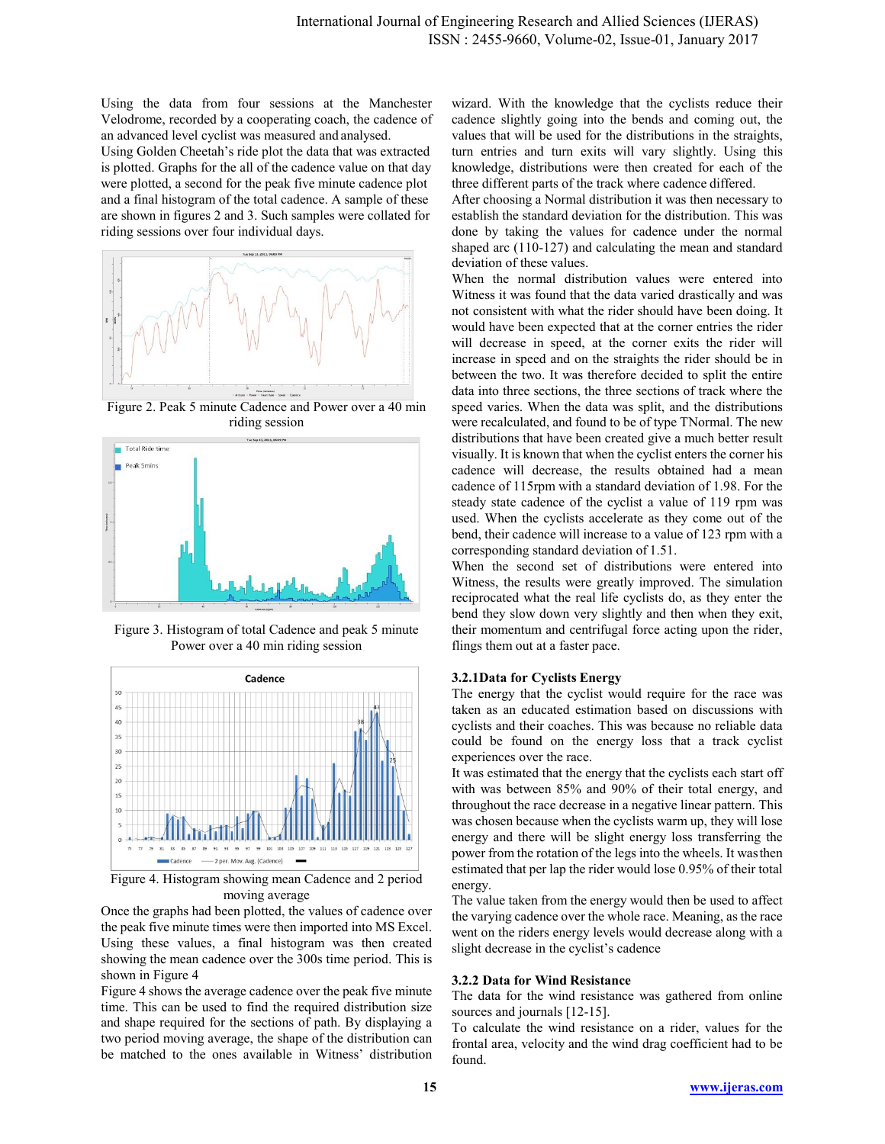Using the data from four sessions at the Manchester Velodrome, recorded by a cooperating coach, the cadence of an advanced level cyclist was measured and analysed.

Using Golden Cheetah's ride plot the data that was extracted is plotted. Graphs for the all of the cadence value on that day were plotted, a second for the peak five minute cadence plot and a final histogram of the total cadence. A sample of these are shown in figures 2 and 3. Such samples were collated for riding sessions over four individual days.



Figure 2. Peak 5 minute Cadence and Power over a 40 min riding session



Figure 3. Histogram of total Cadence and peak 5 minute Power over a 40 min riding session



Figure 4. Histogram showing mean Cadence and 2 period moving average

Once the graphs had been plotted, the values of cadence over the peak five minute times were then imported into MS Excel. Using these values, a final histogram was then created showing the mean cadence over the 300s time period. This is shown in Figure 4

Figure 4 shows the average cadence over the peak five minute time. This can be used to find the required distribution size and shape required for the sections of path. By displaying a two period moving average, the shape of the distribution can be matched to the ones available in Witness' distribution wizard. With the knowledge that the cyclists reduce their cadence slightly going into the bends and coming out, the values that will be used for the distributions in the straights, turn entries and turn exits will vary slightly. Using this knowledge, distributions were then created for each of the three different parts of the track where cadence differed.

After choosing a Normal distribution it was then necessary to establish the standard deviation for the distribution. This was done by taking the values for cadence under the normal shaped arc  $(110-127)$  and calculating the mean and standard deviation of these values.

When the normal distribution values were entered into Witness it was found that the data varied drastically and was not consistent with what the rider should have been doing. It would have been expected that at the corner entries the rider will decrease in speed, at the corner exits the rider will increase in speed and on the straights the rider should be in between the two. It was therefore decided to split the entire data into three sections, the three sections of track where the speed varies. When the data was split, and the distributions were recalculated, and found to be of type TNormal. The new distributions that have been created give a much better result visually. It is known that when the cyclist enters the corner his cadence will decrease, the results obtained had a mean cadence of 115rpm with a standard deviation of 1.98. For the steady state cadence of the cyclist a value of 119 rpm was used. When the cyclists accelerate as they come out of the bend, their cadence will increase to a value of 123 rpm with a corresponding standard deviation of 1.51.

When the second set of distributions were entered into Witness, the results were greatly improved. The simulation reciprocated what the real life cyclists do, as they enter the bend they slow down very slightly and then when they exit, their momentum and centrifugal force acting upon the rider, flings them out at a faster pace.

## 3.2.1 Data for Cyclists Energy

The energy that the cyclist would require for the race was taken as an educated estimation based on discussions with cyclists and their coaches. This was because no reliable data could be found on the energy loss that a track cyclist experiences over the race.

It was estimated that the energy that the cyclists each start off with was between 85% and 90% of their total energy, and throughout the race decrease in a negative linear pattern. This was chosen because when the cyclists warm up, they will lose energy and there will be slight energy loss transferring the power from the rotation of the legs into the wheels. It was then estimated that per lap the rider would lose 0.95% of their total energy.

The value taken from the energy would then be used to affect the varying cadence over the whole race. Meaning, as the race went on the riders energy levels would decrease along with a slight decrease in the cyclist's cadence

# 3.2.2 Data for Wind Resistance

The data for the wind resistance was gathered from online sources and journals [12-15].

To calculate the wind resistance on a rider, values for the frontal area, velocity and the wind drag coefficient had to be found.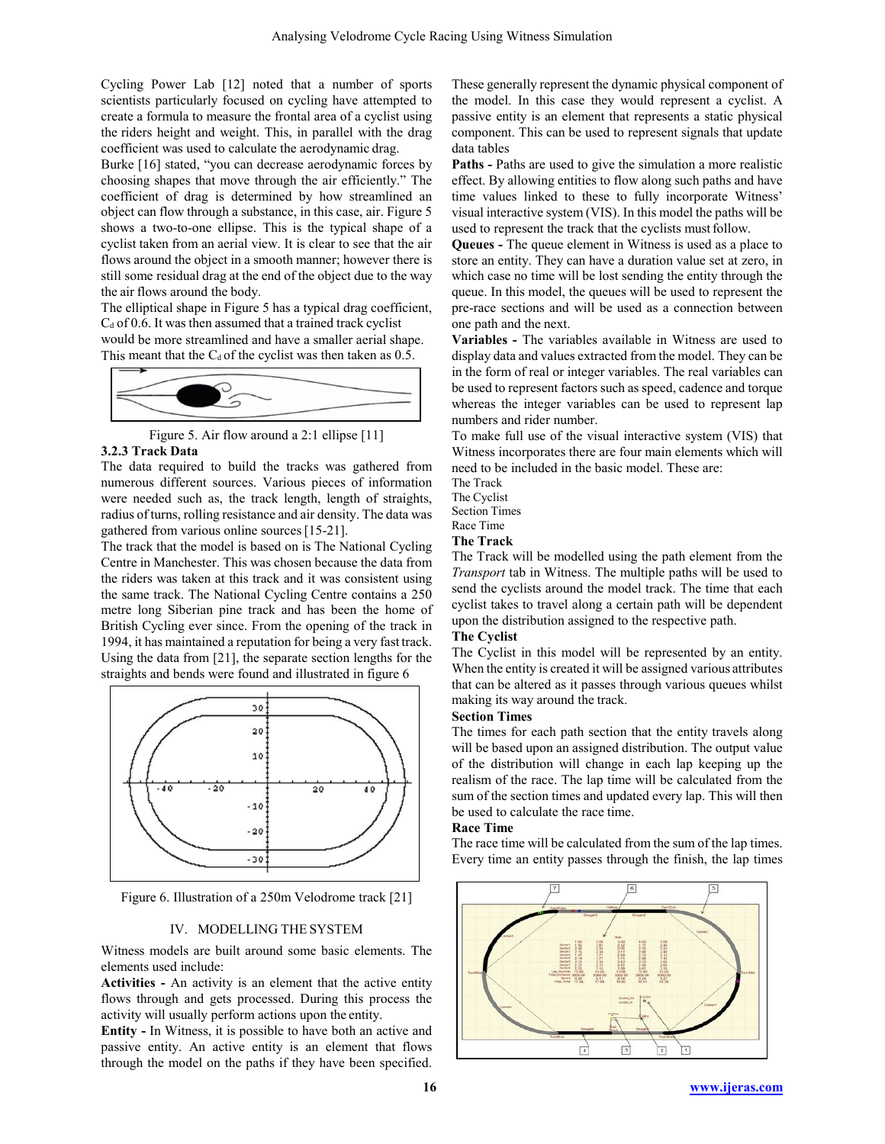Cycling Power Lab [12] noted that a number of sports scientists particularly focused on cycling have attempted to create a formula to measure the frontal area of a cyclist using the riders height and weight. This, in parallel with the drag coefficient was used to calculate the aerodynamic drag.

Burke [16] stated, "you can decrease aerodynamic forces by choosing shapes that move through the air efficiently." The coefficient of drag is determined by how streamlined an object can flow through a substance, in this case, air. Figure 5 shows a two-to-one ellipse. This is the typical shape of a cyclist taken from an aerial view. It is clear to see that the air flows around the object in a smooth manner; however there is still some residual drag at the end of the object due to the way the air flows around the body.

The elliptical shape in Figure 5 has a typical drag coefficient,  $C_d$  of 0.6. It was then assumed that a trained track cyclist

would be more streamlined and have a smaller aerial shape. This meant that the  $C_d$  of the cyclist was then taken as 0.5.



Figure 5. Air flow around a  $2:1$  ellipse  $[11]$ **3.2.3 Track Data** 

The data required to build the tracks was gathered from numerous different sources. Various pieces of information were needed such as, the track length, length of straights, radius of turns, rolling resistance and air density. The data was gathered from various online sources  $[15-21]$ .

The track that the model is based on is The National Cycling Centre in Manchester. This was chosen because the data from the riders was taken at this track and it was consistent using the same track. The National Cycling Centre contains a 250 metre long Siberian pine track and has been the home of British Cycling ever since. From the opening of the track in 1994, it has maintained a reputation for being a very fast track. Using the data from  $[21]$ , the separate section lengths for the straights and bends were found and illustrated in figure 6



Figure 6. Illustration of a 250m Velodrome track [21]

# IV. MODELLING THE SYSTEM

Witness models are built around some basic elements. The elements used include:

**Activities** - An activity is an element that the active entity flows through and gets processed. During this process the activity will usually perform actions upon the entity.

**Entity -** In Witness, it is possible to have both an active and passive entity. An active entity is an element that flows through the model on the paths if they have been specified. These generally represent the dynamic physical component of the model. In this case they would represent a cyclist. A passive entity is an element that represents a static physical component. This can be used to represent signals that update data tables

**Paths -** Paths are used to give the simulation a more realistic effect. By allowing entities to flow along such paths and have time values linked to these to fully incorporate Witness' visual interactive system (VIS). In this model the paths will be used to represent the track that the cyclists must follow.

**Queues** - The queue element in Witness is used as a place to store an entity. They can have a duration value set at zero, in which case no time will be lost sending the entity through the queue. In this model, the queues will be used to represent the pre-race sections and will be used as a connection between one path and the next.

**Variables -** The variables available in Witness are used to display data and values extracted from the model. They can be in the form of real or integer variables. The real variables can be used to represent factors such as speed, cadence and torque whereas the integer variables can be used to represent lap numbers and rider number.

To make full use of the visual interactive system (VIS) that Witness incorporates there are four main elements which will need to be included in the basic model. These are:

The Track

The Cyclist

Section Times

#### Race Time **The Track**

The Track will be modelled using the path element from the *Transport* tab in Witness. The multiple paths will be used to send the cyclists around the model track. The time that each cyclist takes to travel along a certain path will be dependent upon the distribution assigned to the respective path.

## **The Cyclist**

The Cyclist in this model will be represented by an entity. When the entity is created it will be assigned various attributes that can be altered as it passes through various queues whilst making its way around the track.

# **<u>Section</u>** Times

The times for each path section that the entity travels along will be based upon an assigned distribution. The output value of the distribution will change in each lap keeping up the realism of the race. The lap time will be calculated from the sum of the section times and updated every lap. This will then be used to calculate the race time.

## **Race Time**

The race time will be calculated from the sum of the lap times. Every time an entity passes through the finish, the lap times

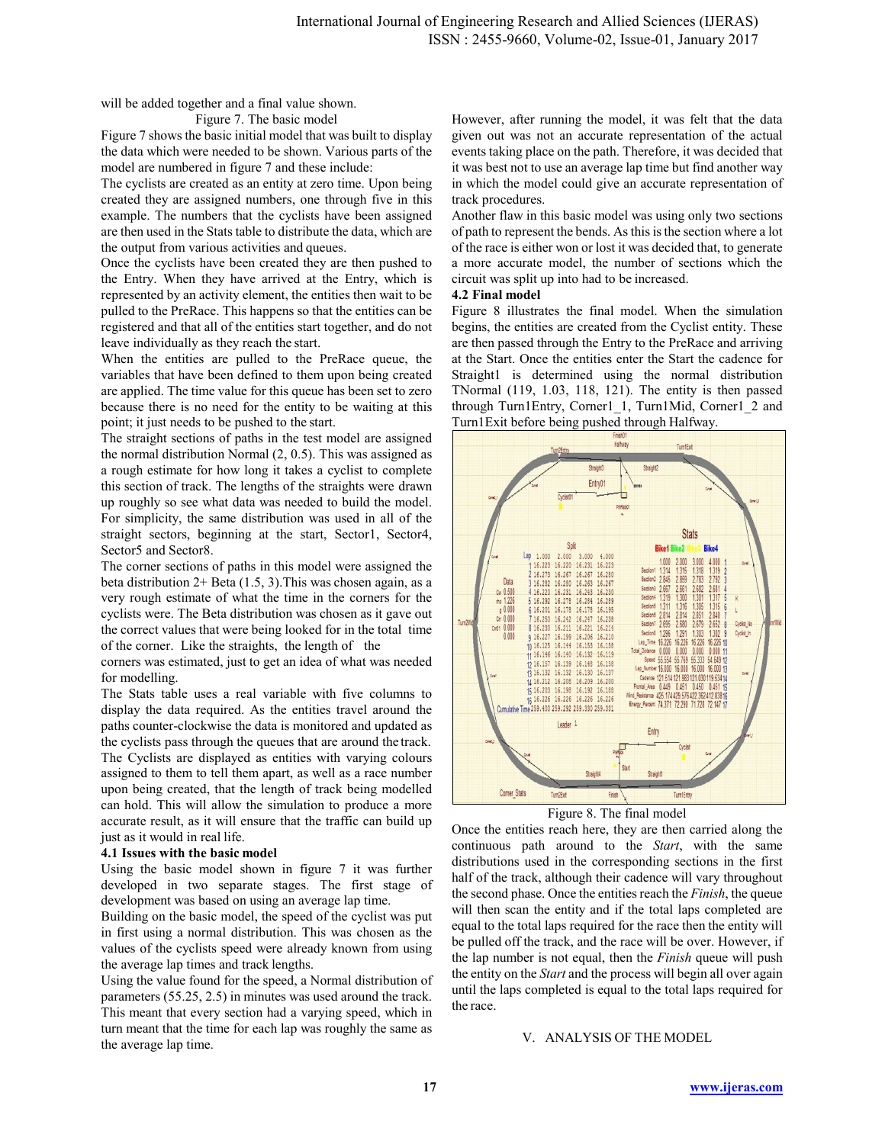will be added together and a final value shown.

Figure 7. The basic model

Figure 7 shows the basic initial model that was built to display the data which were needed to be shown. Various parts of the model are numbered in figure 7 and these include:

The cyclists are created as an entity at zero time. Upon being created they are assigned numbers, one through five in this example. The numbers that the cyclists have been assigned are then used in the Stats table to distribute the data, which are the output from various activities and queues.

Once the cyclists have been created they are then pushed to the Entry. When they have arrived at the Entry, which is represented by an activity element, the entities then wait to be pulled to the PreRace. This happens so that the entities can be registered and that all of the entities start together, and do not leave individually as they reach the start.

When the entities are pulled to the PreRace queue, the variables that have been defined to them upon being created are applied. The time value for this queue has been set to zero because there is no need for the entity to be waiting at this point; it just needs to be pushed to the start.

The straight sections of paths in the test model are assigned the normal distribution Normal  $(2, 0.5)$ . This was assigned as a rough estimate for how long it takes a cyclist to complete this section of track. The lengths of the straights were drawn up roughly so see what data was needed to build the model. For simplicity, the same distribution was used in all of the straight sectors, beginning at the start, Sector1, Sector4, Sector5 and Sector8.

The corner sections of paths in this model were assigned the beta distribution  $2+$  Beta (1.5, 3). This was chosen again, as a very rough estimate of what the time in the corners for the cyclists were. The Beta distribution was chosen as it gave out the correct values that were being looked for in the total time of the corner. Like the straights, the length of the

corners was estimated, just to get an idea of what was needed for modelling.

The Stats table uses a real variable with five columns to display the data required. As the entities travel around the paths counter-clockwise the data is monitored and updated as the cyclists pass through the queues that are around the track. The Cyclists are displayed as entities with varying colours assigned to them to tell them apart, as well as a race number upon being created, that the length of track being modelled can hold. This will allow the simulation to produce a more accurate result, as it will ensure that the traffic can build up just as it would in real life.

#### 4.1 Issues with the basic model

Using the basic model shown in figure 7 it was further developed in two separate stages. The first stage of development was based on using an average lap time.

Building on the basic model, the speed of the cyclist was put in first using a normal distribution. This was chosen as the values of the cyclists speed were already known from using the average lap times and track lengths.

Using the value found for the speed, a Normal distribution of parameters (55.25, 2.5) in minutes was used around the track. This meant that every section had a varying speed, which in turn meant that the time for each lap was roughly the same as the average lap time.

However, after running the model, it was felt that the data given out was not an accurate representation of the actual events taking place on the path. Therefore, it was decided that it was best not to use an average lap time but find another way in which the model could give an accurate representation of track procedures.

Another flaw in this basic model was using only two sections of path to represent the bends. As this is the section where a lot of the race is either won or lost it was decided that, to generate a more accurate model, the number of sections which the circuit was split up into had to be increased.

## 4.2 Final model

Figure 8 illustrates the final model. When the simulation begins, the entities are created from the Cyclist entity. These are then passed through the Entry to the PreRace and arriving at the Start. Once the entities enter the Start the cadence for Straight1 is determined using the normal distribution TNormal (119, 1.03, 118, 121). The entity is then passed through Turn1Entry, Corner1 1, Turn1Mid, Corner1 2 and Turn1Exit before being pushed through Halfway.





Once the entities reach here, they are then carried along the continuous path around to the Start, with the same distributions used in the corresponding sections in the first half of the track, although their cadence will vary throughout the second phase. Once the entities reach the Finish, the queue will then scan the entity and if the total laps completed are equal to the total laps required for the race then the entity will be pulled off the track, and the race will be over. However, if the lap number is not equal, then the *Finish* queue will push the entity on the Start and the process will begin all over again until the laps completed is equal to the total laps required for the race

#### V. ANALYSIS OF THE MODEL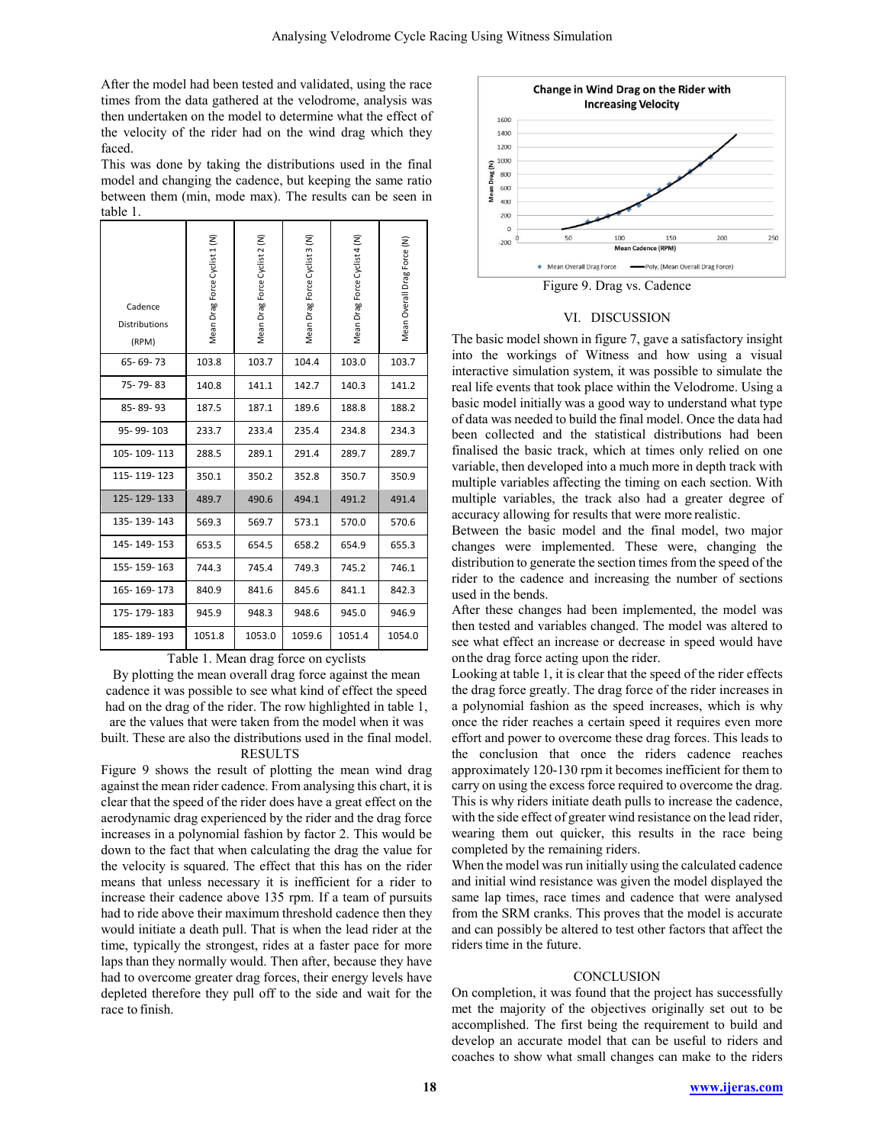After the model had been tested and validated, using the race times from the data gathered at the velodrome, analysis was then undertaken on the model to determine what the effect of the velocity of the rider had on the wind drag which they faced.

This was done by taking the distributions used in the final model and changing the cadence, but keeping the same ratio between them (min, mode max). The results can be seen in table 1.

| Cadence<br>Distributions<br>(RPM) | Mean Drag Force Cyclist 1 (N) | Mean Drag Force Cyclist 2 (N) | Mean Drag Force Cyclist 3 (N) | Mean Drag Force Cyclist 4 (N) | Mean Overall Drag Force (N) |
|-----------------------------------|-------------------------------|-------------------------------|-------------------------------|-------------------------------|-----------------------------|
| 65-69-73                          | 103.8                         | 103.7                         | 104.4                         | 103.0                         | 103.7                       |
| 75-79-83                          | 140.8                         | 141.1                         | 142.7                         | 140.3                         | 141.2                       |
| 85-89-93                          | 187.5                         | 187.1                         | 189.6                         | 188.8                         | 188.2                       |
| 95-99-103                         | 233.7                         | 233.4                         | 235.4                         | 234.8                         | 234.3                       |
| 105-109-113                       | 288.5                         | 289.1                         | 291.4                         | 289.7                         | 289.7                       |
| 115-119-123                       | 350.1                         | 350.2                         | 352.8                         | 350.7                         | 350.9                       |
| 125-129-133                       | 489.7                         | 490.6                         | 494.1                         | 491.2                         | 491.4                       |
| 135-139-143                       | 569.3                         | 569.7                         | 573.1                         | 570.0                         | 570.6                       |
| 145-149-153                       | 653.5                         | 654.5                         | 658.2                         | 654.9                         | 655.3                       |
| 155-159-163                       | 744.3                         | 745.4                         | 749.3                         | 745.2                         | 746.1                       |
| 165-169-173                       | 840.9                         | 841.6                         | 845.6                         | 841.1                         | 842.3                       |
| 175-179-183                       | 945.9                         | 948.3                         | 948.6                         | 945.0                         | 946.9                       |
| 185-189-193                       | 1051.8                        | 1053.0                        | 1059.6                        | 1051.4                        | 1054.0                      |

Table 1. Mean drag force on cyclists

By plotting the mean overall drag force against the mean cadence it was possible to see what kind of effect the speed had on the drag of the rider. The row highlighted in table 1, are the values that were taken from the model when it was built. These are also the distributions used in the final model.

# **RESULTS**

Figure 9 shows the result of plotting the mean wind drag against the mean rider cadence. From analysing this chart, it is clear that the speed of the rider does have a great effect on the aerodynamic drag experienced by the rider and the drag force increases in a polynomial fashion by factor 2. This would be down to the fact that when calculating the drag the value for the velocity is squared. The effect that this has on the rider means that unless necessary it is inefficient for a rider to increase their cadence above 135 rpm. If a team of pursuits had to ride above their maximum threshold cadence then they would initiate a death pull. That is when the lead rider at the time, typically the strongest, rides at a faster pace for more laps than they normally would. Then after, because they have had to overcome greater drag forces, their energy levels have depleted therefore they pull off to the side and wait for the race to finish.



#### VI. DISCUSSION

The basic model shown in figure 7, gave a satisfactory insight into the workings of Witness and how using a visual interactive simulation system, it was possible to simulate the real life events that took place within the Velodrome. Using a basic model initially was a good way to understand what type of data was needed to build the final model. Once the data had been collected and the statistical distributions had been finalised the basic track, which at times only relied on one variable, then developed into a much more in depth track with multiple variables affecting the timing on each section. With multiple variables, the track also had a greater degree of accuracy allowing for results that were more realistic.

Between the basic model and the final model, two major changes were implemented. These were, changing the distribution to generate the section times from the speed of the rider to the cadence and increasing the number of sections used in the bends.

After these changes had been implemented, the model was then tested and variables changed. The model was altered to see what effect an increase or decrease in speed would have on the drag force acting upon the rider.

Looking at table 1, it is clear that the speed of the rider effects the drag force greatly. The drag force of the rider increases in a polynomial fashion as the speed increases, which is why once the rider reaches a certain speed it requires even more effort and power to overcome these drag forces. This leads to the conclusion that once the riders cadence reaches approximately 120-130 rpm it becomes inefficient for them to carry on using the excess force required to overcome the drag. This is why riders initiate death pulls to increase the cadence, with the side effect of greater wind resistance on the lead rider, wearing them out quicker, this results in the race being completed by the remaining riders.

When the model was run initially using the calculated cadence and initial wind resistance was given the model displayed the same lap times, race times and cadence that were analysed from the SRM cranks. This proves that the model is accurate and can possibly be altered to test other factors that affect the riders time in the future.

## **CONCLUSION**

On completion, it was found that the project has successfully met the majority of the objectives originally set out to be accomplished. The first being the requirement to build and develop an accurate model that can be useful to riders and coaches to show what small changes can make to the riders